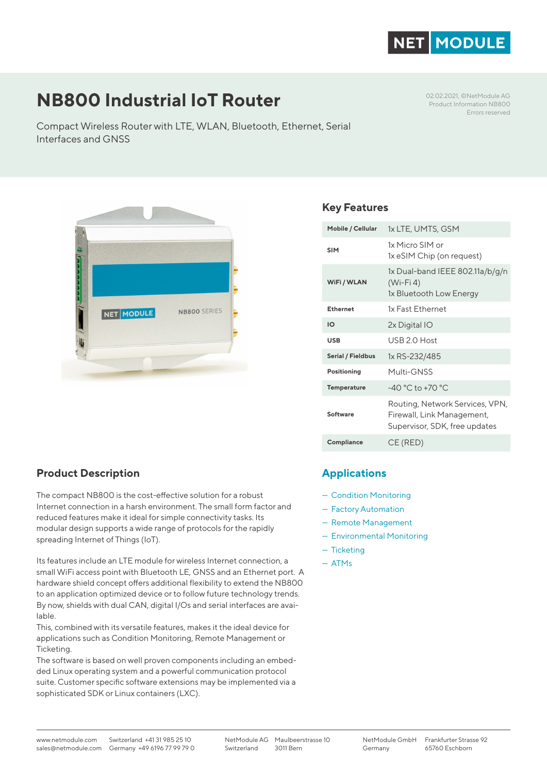

# **NB800 Industrial IoT Router**

Compact Wireless Router with LTE, WLAN, Bluetooth, Ethernet, Serial Interfaces and GNSS

02.02.2021, ©NetModule AG Product Information NB800 Errors reserved



# **Product Description**

The compact NB800 is the cost-effective solution for a robust Internet connection in a harsh environment. The small form factor and reduced features make it ideal for simple connectivity tasks. Its modular design supports a wide range of protocols for the rapidly spreading Internet of Things (IoT).

Its features include an LTE module for wireless Internet connection, a small WiFi access point with Bluetooth LE, GNSS and an Ethernet port. A hardware shield concept offers additional flexibility to extend the NB800 to an application optimized device or to follow future technology trends. By now, shields with dual CAN, digital I/Os and serial interfaces are available.

This, combined with its versatile features, makes it the ideal device for applications such as Condition Monitoring, Remote Management or Ticketing.

The software is based on well proven components including an embedded Linux operating system and a powerful communication protocol suite. Customer specific software extensions may be implemented via a sophisticated SDK or Linux containers (LXC).

# **Key Features**

| Mobile / Cellular  | 1x LTE, UMTS, GSM                                                                              |
|--------------------|------------------------------------------------------------------------------------------------|
| <b>SIM</b>         | 1x Micro SIM or<br>1x eSIM Chip (on request)                                                   |
| WiFi / WLAN        | 1x Dual-band IEEE 802.11a/b/g/n<br>$(Wi-Fi 4)$<br>1x Bluetooth Low Energy                      |
| Ethernet           | 1x Fast Ethernet                                                                               |
| IO                 | 2x Digital IO                                                                                  |
| <b>USB</b>         | USB 2.0 Host                                                                                   |
| Serial / Fieldbus  | 1x RS-232/485                                                                                  |
| Positioning        | Multi-GNSS                                                                                     |
| <b>Temperature</b> | $-40 °C$ to $+70 °C$                                                                           |
| Software           | Routing, Network Services, VPN,<br>Firewall, Link Management,<br>Supervisor, SDK, free updates |
| Compliance         | CE (RED)                                                                                       |

# **Applications**

- Condition Monitoring
- Factory Automation
- Remote Management
- Environmental Monitoring
- Ticketing
- ATMs